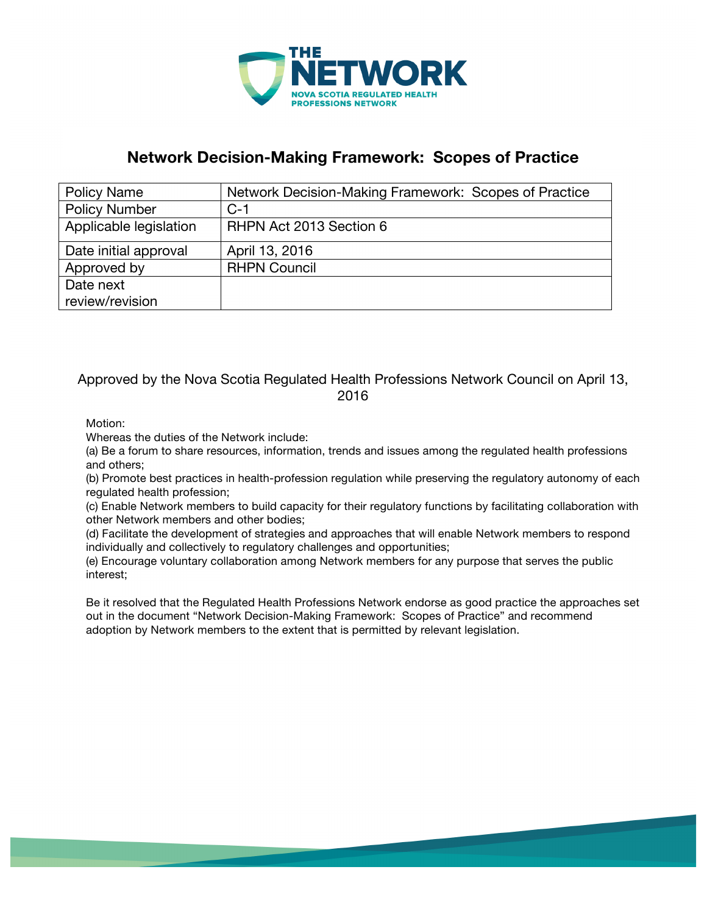

### **Network Decision-Making Framework: Scopes of Practice**

| <b>Policy Name</b>     | Network Decision-Making Framework: Scopes of Practice |
|------------------------|-------------------------------------------------------|
| <b>Policy Number</b>   | $C-1$                                                 |
| Applicable legislation | RHPN Act 2013 Section 6                               |
| Date initial approval  | April 13, 2016                                        |
| Approved by            | <b>RHPN Council</b>                                   |
| Date next              |                                                       |
| review/revision        |                                                       |

#### Approved by the Nova Scotia Regulated Health Professions Network Council on April 13, 2016

Motion:

Whereas the duties of the Network include:

(a) Be a forum to share resources, information, trends and issues among the regulated health professions and others;

(b) Promote best practices in health-profession regulation while preserving the regulatory autonomy of each regulated health profession;

(c) Enable Network members to build capacity for their regulatory functions by facilitating collaboration with other Network members and other bodies;

(d) Facilitate the development of strategies and approaches that will enable Network members to respond individually and collectively to regulatory challenges and opportunities;

(e) Encourage voluntary collaboration among Network members for any purpose that serves the public interest;

Be it resolved that the Regulated Health Professions Network endorse as good practice the approaches set out in the document "Network Decision-Making Framework: Scopes of Practice" and recommend adoption by Network members to the extent that is permitted by relevant legislation.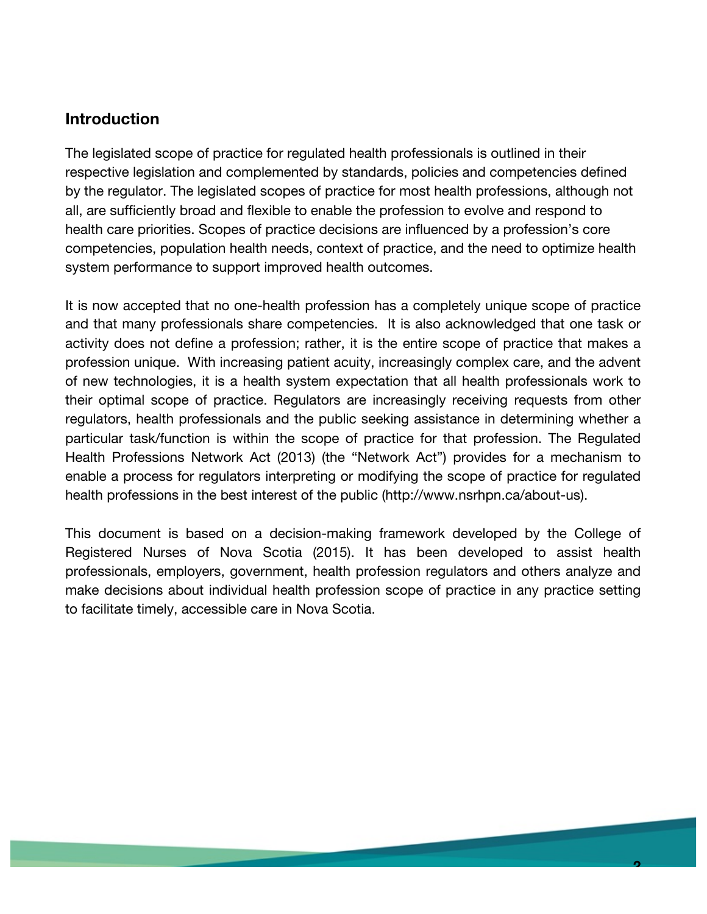## **Introduction**

The legislated scope of practice for regulated health professionals is outlined in their respective legislation and complemented by standards, policies and competencies defined by the regulator. The legislated scopes of practice for most health professions, although not all, are sufficiently broad and flexible to enable the profession to evolve and respond to health care priorities. Scopes of practice decisions are influenced by a profession's core competencies, population health needs, context of practice, and the need to optimize health system performance to support improved health outcomes.

It is now accepted that no one-health profession has a completely unique scope of practice and that many professionals share competencies. It is also acknowledged that one task or activity does not define a profession; rather, it is the entire scope of practice that makes a profession unique. With increasing patient acuity, increasingly complex care, and the advent of new technologies, it is a health system expectation that all health professionals work to their optimal scope of practice. Regulators are increasingly receiving requests from other regulators, health professionals and the public seeking assistance in determining whether a particular task/function is within the scope of practice for that profession. The Regulated Health Professions Network Act (2013) (the "Network Act") provides for a mechanism to enable a process for regulators interpreting or modifying the scope of practice for regulated health professions in the best interest of the public (http://www.nsrhpn.ca/about-us).

This document is based on a decision-making framework developed by the College of Registered Nurses of Nova Scotia (2015). It has been developed to assist health professionals, employers, government, health profession regulators and others analyze and make decisions about individual health profession scope of practice in any practice setting to facilitate timely, accessible care in Nova Scotia.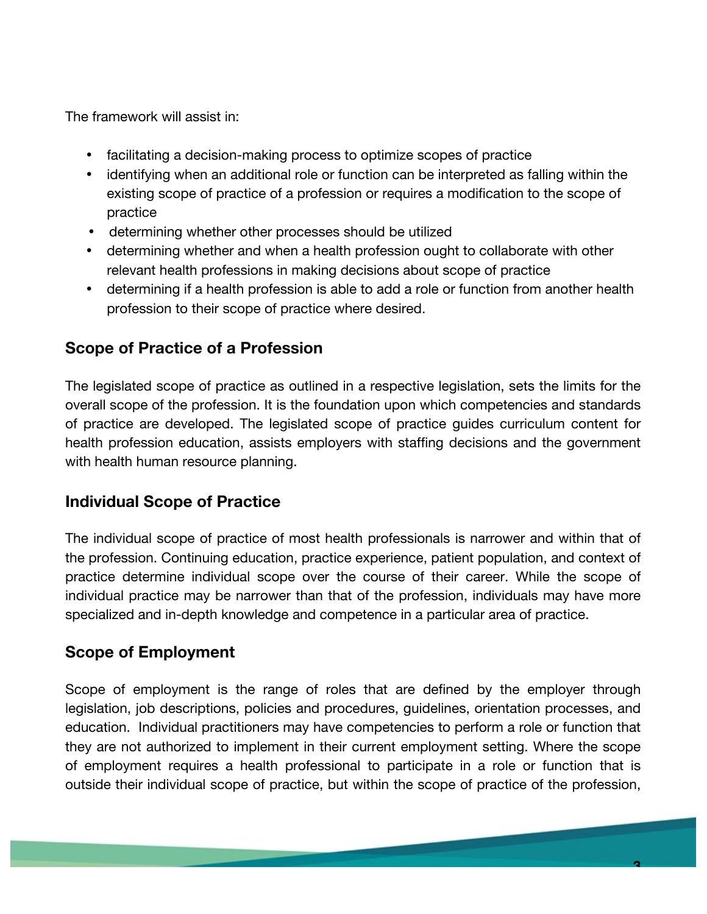The framework will assist in:

- facilitating a decision-making process to optimize scopes of practice
- identifying when an additional role or function can be interpreted as falling within the existing scope of practice of a profession or requires a modification to the scope of practice
- determining whether other processes should be utilized
- determining whether and when a health profession ought to collaborate with other relevant health professions in making decisions about scope of practice
- determining if a health profession is able to add a role or function from another health profession to their scope of practice where desired.

# **Scope of Practice of a Profession**

The legislated scope of practice as outlined in a respective legislation, sets the limits for the overall scope of the profession. It is the foundation upon which competencies and standards of practice are developed. The legislated scope of practice guides curriculum content for health profession education, assists employers with staffing decisions and the government with health human resource planning.

## **Individual Scope of Practice**

The individual scope of practice of most health professionals is narrower and within that of the profession. Continuing education, practice experience, patient population, and context of practice determine individual scope over the course of their career. While the scope of individual practice may be narrower than that of the profession, individuals may have more specialized and in-depth knowledge and competence in a particular area of practice.

## **Scope of Employment**

Scope of employment is the range of roles that are defined by the employer through legislation, job descriptions, policies and procedures, guidelines, orientation processes, and education. Individual practitioners may have competencies to perform a role or function that they are not authorized to implement in their current employment setting. Where the scope of employment requires a health professional to participate in a role or function that is outside their individual scope of practice, but within the scope of practice of the profession,

**3**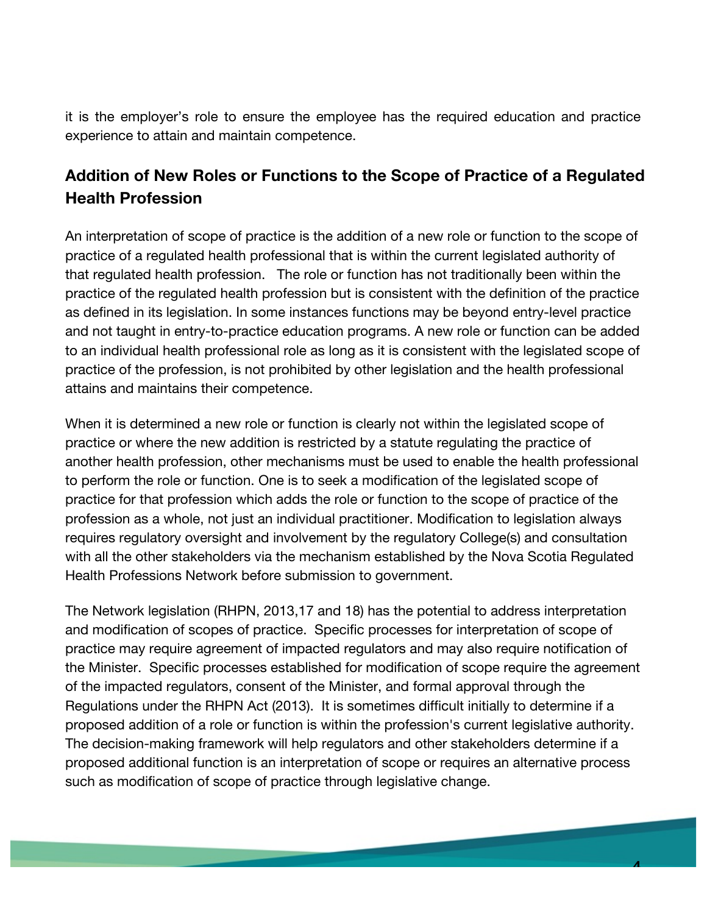it is the employer's role to ensure the employee has the required education and practice experience to attain and maintain competence.

# **Addition of New Roles or Functions to the Scope of Practice of a Regulated Health Profession**

An interpretation of scope of practice is the addition of a new role or function to the scope of practice of a regulated health professional that is within the current legislated authority of that regulated health profession. The role or function has not traditionally been within the practice of the regulated health profession but is consistent with the definition of the practice as defined in its legislation. In some instances functions may be beyond entry-level practice and not taught in entry-to-practice education programs. A new role or function can be added to an individual health professional role as long as it is consistent with the legislated scope of practice of the profession, is not prohibited by other legislation and the health professional attains and maintains their competence.

When it is determined a new role or function is clearly not within the legislated scope of practice or where the new addition is restricted by a statute regulating the practice of another health profession, other mechanisms must be used to enable the health professional to perform the role or function. One is to seek a modification of the legislated scope of practice for that profession which adds the role or function to the scope of practice of the profession as a whole, not just an individual practitioner. Modification to legislation always requires regulatory oversight and involvement by the regulatory College(s) and consultation with all the other stakeholders via the mechanism established by the Nova Scotia Regulated Health Professions Network before submission to government.

The Network legislation (RHPN, 2013,17 and 18) has the potential to address interpretation and modification of scopes of practice. Specific processes for interpretation of scope of practice may require agreement of impacted regulators and may also require notification of the Minister. Specific processes established for modification of scope require the agreement of the impacted regulators, consent of the Minister, and formal approval through the Regulations under the RHPN Act (2013). It is sometimes difficult initially to determine if a proposed addition of a role or function is within the profession's current legislative authority. The decision-making framework will help regulators and other stakeholders determine if a proposed additional function is an interpretation of scope or requires an alternative process such as modification of scope of practice through legislative change.

**4**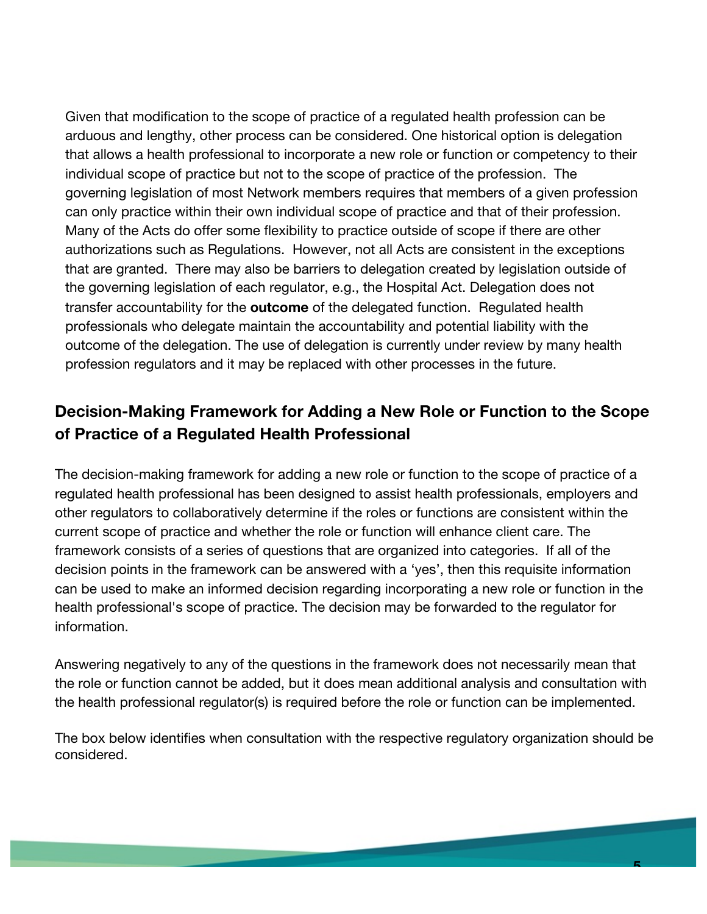Given that modification to the scope of practice of a regulated health profession can be arduous and lengthy, other process can be considered. One historical option is delegation that allows a health professional to incorporate a new role or function or competency to their individual scope of practice but not to the scope of practice of the profession. The governing legislation of most Network members requires that members of a given profession can only practice within their own individual scope of practice and that of their profession. Many of the Acts do offer some flexibility to practice outside of scope if there are other authorizations such as Regulations. However, not all Acts are consistent in the exceptions that are granted. There may also be barriers to delegation created by legislation outside of the governing legislation of each regulator, e.g., the Hospital Act. Delegation does not transfer accountability for the **outcome** of the delegated function. Regulated health professionals who delegate maintain the accountability and potential liability with the outcome of the delegation. The use of delegation is currently under review by many health profession regulators and it may be replaced with other processes in the future.

# **Decision-Making Framework for Adding a New Role or Function to the Scope of Practice of a Regulated Health Professional**

The decision-making framework for adding a new role or function to the scope of practice of a regulated health professional has been designed to assist health professionals, employers and other regulators to collaboratively determine if the roles or functions are consistent within the current scope of practice and whether the role or function will enhance client care. The framework consists of a series of questions that are organized into categories. If all of the decision points in the framework can be answered with a 'yes', then this requisite information can be used to make an informed decision regarding incorporating a new role or function in the health professional's scope of practice. The decision may be forwarded to the regulator for information.

Answering negatively to any of the questions in the framework does not necessarily mean that the role or function cannot be added, but it does mean additional analysis and consultation with the health professional regulator(s) is required before the role or function can be implemented.

The box below identifies when consultation with the respective regulatory organization should be considered.

**5**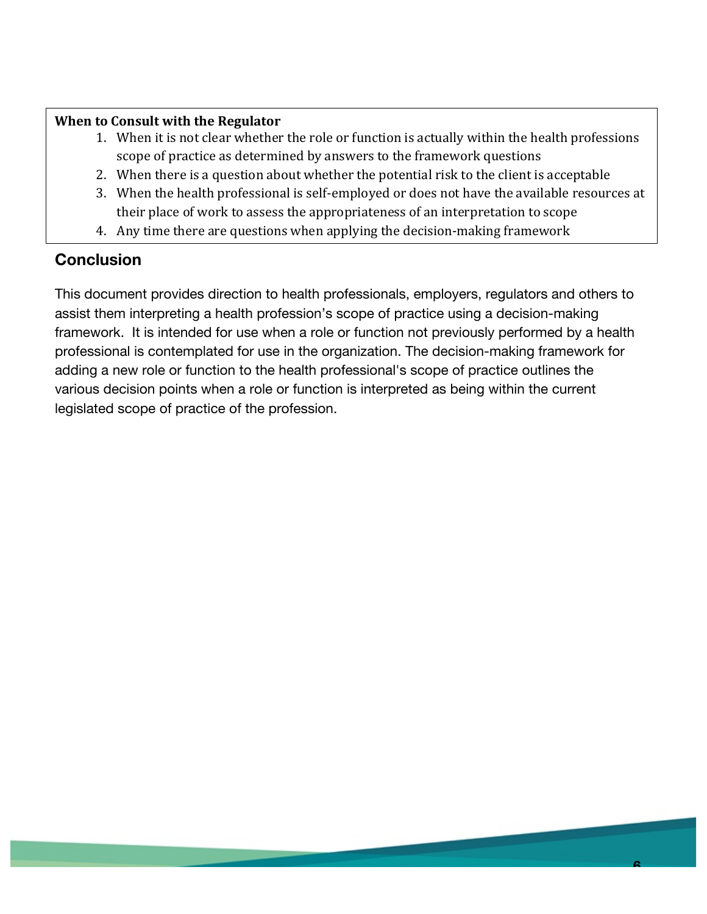#### **When to Consult with the Regulator**

- 1. When it is not clear whether the role or function is actually within the health professions scope of practice as determined by answers to the framework questions
- 2. When there is a question about whether the potential risk to the client is acceptable
- 3. When the health professional is self-employed or does not have the available resources at their place of work to assess the appropriateness of an interpretation to scope
- 4. Any time there are questions when applying the decision-making framework

## **Conclusion**

This document provides direction to health professionals, employers, regulators and others to assist them interpreting a health profession's scope of practice using a decision-making framework. It is intended for use when a role or function not previously performed by a health professional is contemplated for use in the organization. The decision-making framework for adding a new role or function to the health professional's scope of practice outlines the various decision points when a role or function is interpreted as being within the current legislated scope of practice of the profession.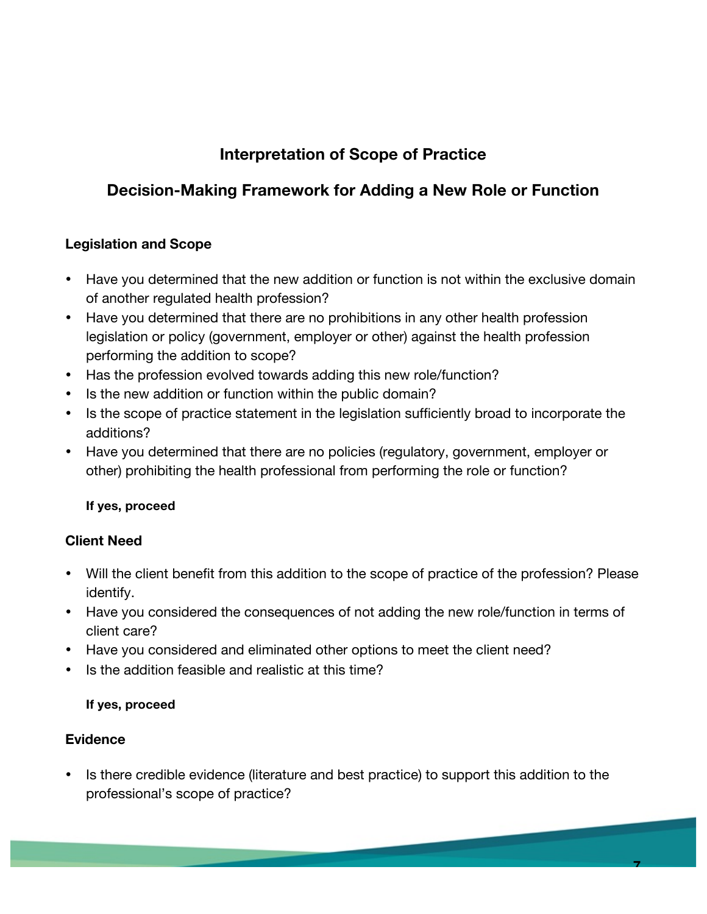# **Interpretation of Scope of Practice**

# **Decision-Making Framework for Adding a New Role or Function**

### **Legislation and Scope**

- Have you determined that the new addition or function is not within the exclusive domain of another regulated health profession?
- Have you determined that there are no prohibitions in any other health profession legislation or policy (government, employer or other) against the health profession performing the addition to scope?
- Has the profession evolved towards adding this new role/function?
- Is the new addition or function within the public domain?
- Is the scope of practice statement in the legislation sufficiently broad to incorporate the additions?
- Have you determined that there are no policies (regulatory, government, employer or other) prohibiting the health professional from performing the role or function?

### **If yes, proceed**

### **Client Need**

- Will the client benefit from this addition to the scope of practice of the profession? Please identify.
- Have you considered the consequences of not adding the new role/function in terms of client care?
- Have you considered and eliminated other options to meet the client need?
- Is the addition feasible and realistic at this time?

### **If yes, proceed**

### **Evidence**

• Is there credible evidence (literature and best practice) to support this addition to the professional's scope of practice?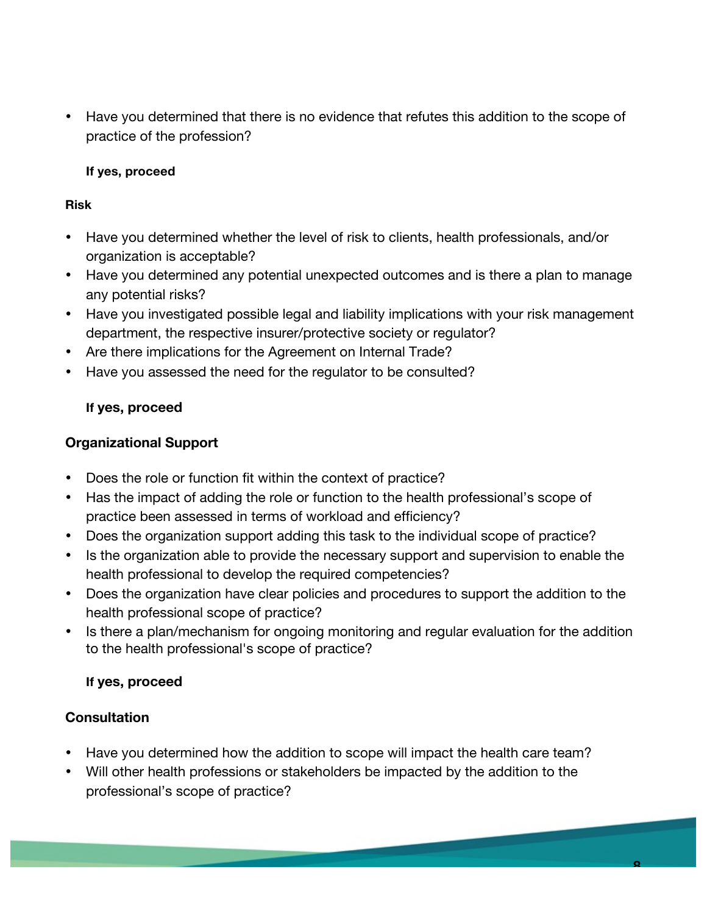• Have you determined that there is no evidence that refutes this addition to the scope of practice of the profession?

#### **If yes, proceed**

#### **Risk**

- Have you determined whether the level of risk to clients, health professionals, and/or organization is acceptable?
- Have you determined any potential unexpected outcomes and is there a plan to manage any potential risks?
- Have you investigated possible legal and liability implications with your risk management department, the respective insurer/protective society or regulator?
- Are there implications for the Agreement on Internal Trade?
- Have you assessed the need for the regulator to be consulted?

### **If yes, proceed**

### **Organizational Support**

- Does the role or function fit within the context of practice?
- Has the impact of adding the role or function to the health professional's scope of practice been assessed in terms of workload and efficiency?
- Does the organization support adding this task to the individual scope of practice?
- Is the organization able to provide the necessary support and supervision to enable the health professional to develop the required competencies?
- Does the organization have clear policies and procedures to support the addition to the health professional scope of practice?
- Is there a plan/mechanism for ongoing monitoring and regular evaluation for the addition to the health professional's scope of practice?

### **If yes, proceed**

## **Consultation**

- Have you determined how the addition to scope will impact the health care team?
- Will other health professions or stakeholders be impacted by the addition to the professional's scope of practice?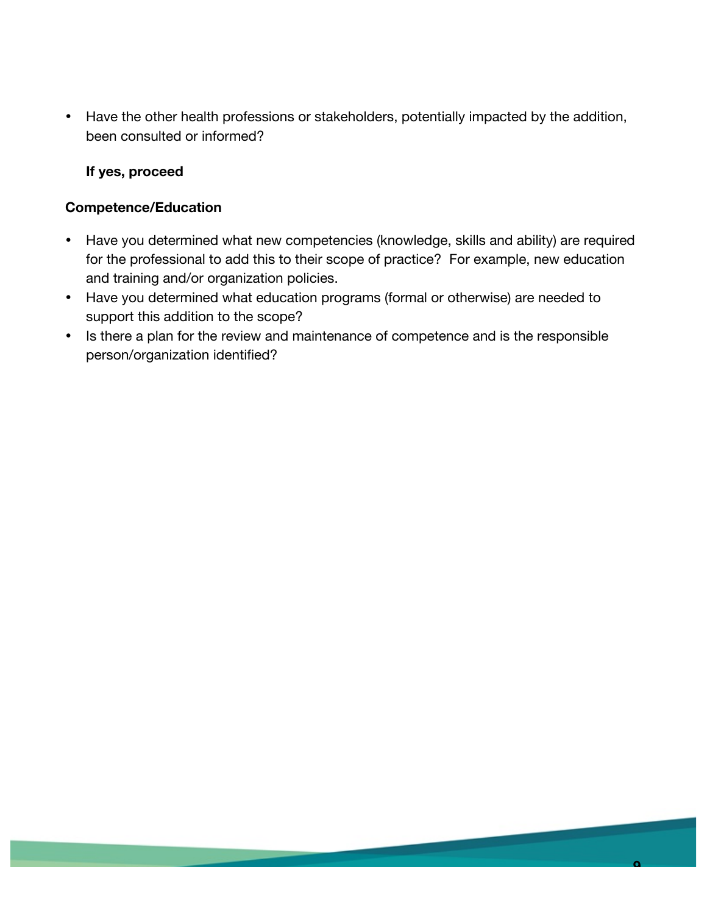• Have the other health professions or stakeholders, potentially impacted by the addition, been consulted or informed?

#### **If yes, proceed**

#### **Competence/Education**

- Have you determined what new competencies (knowledge, skills and ability) are required for the professional to add this to their scope of practice? For example, new education and training and/or organization policies.
- Have you determined what education programs (formal or otherwise) are needed to support this addition to the scope?
- Is there a plan for the review and maintenance of competence and is the responsible person/organization identified?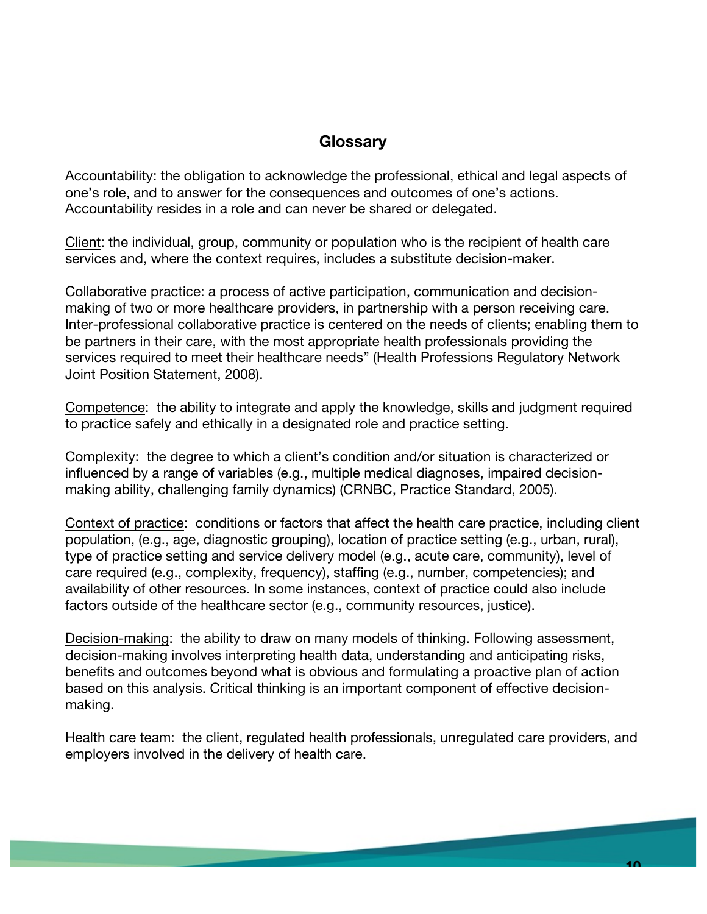### **Glossary**

Accountability: the obligation to acknowledge the professional, ethical and legal aspects of one's role, and to answer for the consequences and outcomes of one's actions. Accountability resides in a role and can never be shared or delegated.

Client: the individual, group, community or population who is the recipient of health care services and, where the context requires, includes a substitute decision-maker.

Collaborative practice: a process of active participation, communication and decisionmaking of two or more healthcare providers, in partnership with a person receiving care. Inter-professional collaborative practice is centered on the needs of clients; enabling them to be partners in their care, with the most appropriate health professionals providing the services required to meet their healthcare needs" (Health Professions Regulatory Network Joint Position Statement, 2008).

Competence: the ability to integrate and apply the knowledge, skills and judgment required to practice safely and ethically in a designated role and practice setting.

Complexity: the degree to which a client's condition and/or situation is characterized or influenced by a range of variables (e.g., multiple medical diagnoses, impaired decisionmaking ability, challenging family dynamics) (CRNBC, Practice Standard, 2005).

Context of practice: conditions or factors that affect the health care practice, including client population, (e.g., age, diagnostic grouping), location of practice setting (e.g., urban, rural), type of practice setting and service delivery model (e.g., acute care, community), level of care required (e.g., complexity, frequency), staffing (e.g., number, competencies); and availability of other resources. In some instances, context of practice could also include factors outside of the healthcare sector (e.g., community resources, justice).

Decision-making: the ability to draw on many models of thinking. Following assessment, decision-making involves interpreting health data, understanding and anticipating risks, benefits and outcomes beyond what is obvious and formulating a proactive plan of action based on this analysis. Critical thinking is an important component of effective decisionmaking.

Health care team: the client, regulated health professionals, unregulated care providers, and employers involved in the delivery of health care.